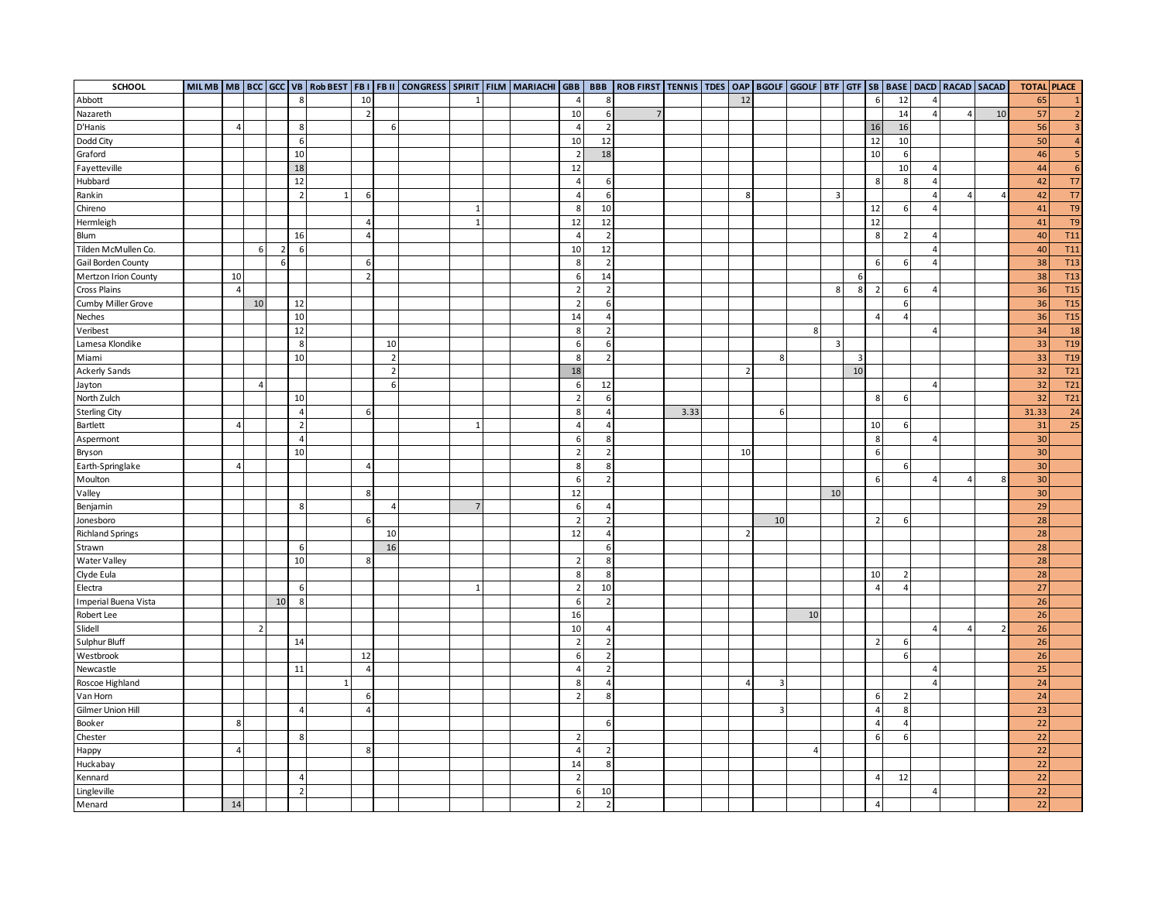| SCHOOL                      |                |                |                |                |              |                |                | MIL MB   MB   BCC   GCC   VB   Rob BEST   FB I   FB II   CONGRESS   SPIRIT   FILM   MARIACHI   GBB |                |  |                          |                | BBB   ROB FIRST   TENNIS   TDES   OAP   BGOLF   GGOLF   BTF   GTF   SB   BASE   DACD   RACAD   SACAD |      |               |                |                |                |    |                          |                |                |          |          | <b>TOTAL PLACE</b> |                 |
|-----------------------------|----------------|----------------|----------------|----------------|--------------|----------------|----------------|----------------------------------------------------------------------------------------------------|----------------|--|--------------------------|----------------|------------------------------------------------------------------------------------------------------|------|---------------|----------------|----------------|----------------|----|--------------------------|----------------|----------------|----------|----------|--------------------|-----------------|
| Abbott                      |                |                |                | 8              |              | 10             |                |                                                                                                    |                |  | $\overline{4}$           | 8              |                                                                                                      |      | 12            |                |                |                |    | 6                        | 12             | $\overline{4}$ |          |          | 65                 | $\mathbf{1}$    |
| Nazareth                    |                |                |                |                |              | $\overline{2}$ |                |                                                                                                    |                |  | 10                       | 6              | $\overline{7}$                                                                                       |      |               |                |                |                |    |                          | 14             | $\overline{4}$ | $\Delta$ | 10       | 57                 | 2               |
| D'Hanis                     | $\overline{4}$ |                |                | 8              |              |                | 6              |                                                                                                    |                |  | $\overline{4}$           | $\overline{2}$ |                                                                                                      |      |               |                |                |                |    | 16                       | 16             |                |          |          | 56                 | $\overline{3}$  |
| Dodd City                   |                |                |                | 6              |              |                |                |                                                                                                    |                |  | 10                       | 12             |                                                                                                      |      |               |                |                |                |    | 12                       | $10\,$         |                |          |          | 50                 | $\overline{4}$  |
| Graford                     |                |                |                | 10             |              |                |                |                                                                                                    |                |  | $\overline{2}$           | 18             |                                                                                                      |      |               |                |                |                |    | 10                       | 6              |                |          |          | 46                 | 5 <sub>5</sub>  |
| Fayetteville                |                |                |                | 18             |              |                |                |                                                                                                    |                |  | 12                       |                |                                                                                                      |      |               |                |                |                |    |                          | 10             | $\overline{4}$ |          |          | 44                 | 6               |
| Hubbard                     |                |                |                | 12             |              |                |                |                                                                                                    |                |  | $\overline{4}$           | 6              |                                                                                                      |      |               |                |                |                |    | 8                        | 8              | $\overline{4}$ |          |          | 42                 | T7              |
| Rankin                      |                |                |                | $\overline{2}$ | $\mathbf{1}$ | 6              |                |                                                                                                    |                |  | $\overline{4}$           | 6              |                                                                                                      |      | 8             |                |                | $\overline{3}$ |    |                          |                | $\overline{4}$ | $\Delta$ | $\Delta$ | 42                 | T7              |
| Chireno                     |                |                |                |                |              |                |                |                                                                                                    | $\mathbf{1}$   |  | 8                        | 10             |                                                                                                      |      |               |                |                |                |    | 12                       | 6              | $\overline{4}$ |          |          | 41                 | T <sub>9</sub>  |
| Hermleigh                   |                |                |                |                |              | Δ              |                |                                                                                                    |                |  | 12                       | 12             |                                                                                                      |      |               |                |                |                |    | 12                       |                |                |          |          | 41                 | T <sub>9</sub>  |
| Blum                        |                |                |                | 16             |              | $\Delta$       |                |                                                                                                    |                |  | $\overline{a}$           | $\overline{2}$ |                                                                                                      |      |               |                |                |                |    | 8                        | -2             | $\sqrt{2}$     |          |          | 40                 | <b>T11</b>      |
| Tilden McMullen Co.         |                | 6              | $\overline{2}$ | 6              |              |                |                |                                                                                                    |                |  | 10                       | 12             |                                                                                                      |      |               |                |                |                |    |                          |                |                |          |          | 40                 | T <sub>11</sub> |
| Gail Borden County          |                |                | 6              |                |              | 6              |                |                                                                                                    |                |  | 8                        | $\overline{2}$ |                                                                                                      |      |               |                |                |                |    | 6                        | 6              | $\overline{4}$ |          |          | 38                 | T <sub>13</sub> |
| <b>Mertzon Irion County</b> | 10             |                |                |                |              | $\overline{2}$ |                |                                                                                                    |                |  | 6                        | 14             |                                                                                                      |      |               |                |                |                | 6  |                          |                |                |          |          | 38                 | T <sub>13</sub> |
| <b>Cross Plains</b>         | $\overline{4}$ |                |                |                |              |                |                |                                                                                                    |                |  | $\overline{2}$           | $\overline{2}$ |                                                                                                      |      |               |                |                | 8              | 8  | $\overline{\phantom{a}}$ | 6              | $\overline{4}$ |          |          | 36                 | <b>T15</b>      |
| Cumby Miller Grove          |                | $10\,$         |                | 12             |              |                |                |                                                                                                    |                |  |                          | 6              |                                                                                                      |      |               |                |                |                |    |                          | 6              |                |          |          | 36                 | T <sub>15</sub> |
| Neches                      |                |                |                | 10             |              |                |                |                                                                                                    |                |  | 14                       | $\overline{a}$ |                                                                                                      |      |               |                |                |                |    |                          | $\overline{a}$ |                |          |          | 36                 | <b>T15</b>      |
| Veribest                    |                |                |                | 12             |              |                |                |                                                                                                    |                |  | 8                        | $\overline{2}$ |                                                                                                      |      |               |                | $8\phantom{1}$ |                |    |                          |                | $\overline{4}$ |          |          | 34                 | 18              |
| Lamesa Klondike             |                |                |                | 8              |              |                | 10             |                                                                                                    |                |  | 6                        | 6              |                                                                                                      |      |               |                |                | $\overline{3}$ |    |                          |                |                |          |          | 33                 | T <sub>19</sub> |
| Miami                       |                |                |                | 10             |              |                | $\overline{2}$ |                                                                                                    |                |  | 8                        | $\overline{2}$ |                                                                                                      |      |               | 8              |                |                | 3  |                          |                |                |          |          | 33                 | T <sub>19</sub> |
| <b>Ackerly Sands</b>        |                |                |                |                |              |                | $\overline{2}$ |                                                                                                    |                |  | 18                       |                |                                                                                                      |      | $\mathcal{P}$ |                |                |                | 10 |                          |                |                |          |          | 32                 | T21             |
| Jayton                      |                | $\overline{4}$ |                |                |              |                | 6              |                                                                                                    |                |  | -6                       | 12             |                                                                                                      |      |               |                |                |                |    |                          |                | $\overline{4}$ |          |          | 32                 | T21             |
| North Zulch                 |                |                |                | $10\,$         |              |                |                |                                                                                                    |                |  | $\overline{2}$           | 6              |                                                                                                      |      |               |                |                |                |    | 8                        | 6              |                |          |          | 32                 | T21             |
| <b>Sterling City</b>        |                |                |                | $\overline{4}$ |              | 6              |                |                                                                                                    |                |  | 8                        | $\overline{4}$ |                                                                                                      | 3.33 |               | 6              |                |                |    |                          |                |                |          |          | 31.33              | 24              |
| Bartlett                    | $\overline{4}$ |                |                | $\overline{2}$ |              |                |                |                                                                                                    |                |  | $\overline{4}$           | $\overline{4}$ |                                                                                                      |      |               |                |                |                |    | $10\,$                   | 6              |                |          |          | 31                 | 25              |
| Aspermont                   |                |                |                | $\overline{4}$ |              |                |                |                                                                                                    |                |  | 6                        | 8              |                                                                                                      |      |               |                |                |                |    | 8                        |                | $\overline{4}$ |          |          | 30                 |                 |
| Bryson                      |                |                |                | 10             |              |                |                |                                                                                                    |                |  | 2                        | $\overline{2}$ |                                                                                                      |      | 10            |                |                |                |    | 6                        |                |                |          |          | 30                 |                 |
| Earth-Springlake            | $\overline{4}$ |                |                |                |              | $\Delta$       |                |                                                                                                    |                |  | 8                        | 8              |                                                                                                      |      |               |                |                |                |    |                          | 6              |                |          |          | 30                 |                 |
| Moulton                     |                |                |                |                |              |                |                |                                                                                                    |                |  |                          | $\overline{2}$ |                                                                                                      |      |               |                |                |                |    | 6                        |                |                | 4        |          | 30                 |                 |
| Valley                      |                |                |                |                |              | 8              |                |                                                                                                    |                |  | 12                       |                |                                                                                                      |      |               |                |                | 10             |    |                          |                |                |          |          | 30                 |                 |
| Benjamin                    |                |                |                | 8              |              |                |                |                                                                                                    | $\overline{7}$ |  | 6                        | $\overline{4}$ |                                                                                                      |      |               |                |                |                |    |                          |                |                |          |          | 29                 |                 |
| Jonesboro                   |                |                |                |                |              | 6              |                |                                                                                                    |                |  | $\overline{2}$           | $\overline{2}$ |                                                                                                      |      |               | 10             |                |                |    |                          | 6              |                |          |          | 28                 |                 |
| <b>Richland Springs</b>     |                |                |                |                |              |                | 10             |                                                                                                    |                |  | 12                       | $\overline{4}$ |                                                                                                      |      |               |                |                |                |    |                          |                |                |          |          | 28                 |                 |
| Strawn                      |                |                |                | 6              |              |                | 16             |                                                                                                    |                |  |                          | 6              |                                                                                                      |      |               |                |                |                |    |                          |                |                |          |          | 28                 |                 |
| Water Valley                |                |                |                | 10             |              | 8              |                |                                                                                                    |                |  | $\overline{\phantom{a}}$ | 8              |                                                                                                      |      |               |                |                |                |    |                          |                |                |          |          | 28                 |                 |
| Clyde Eula                  |                |                |                |                |              |                |                |                                                                                                    |                |  | 8                        | 8              |                                                                                                      |      |               |                |                |                |    | 10                       | $\overline{2}$ |                |          |          | 28                 |                 |
| Electra                     |                |                |                | 6              |              |                |                |                                                                                                    |                |  | $\overline{2}$           | 10             |                                                                                                      |      |               |                |                |                |    | 4                        | $\overline{a}$ |                |          |          | 27                 |                 |
| Imperial Buena Vista        |                |                | 10             | 8              |              |                |                |                                                                                                    |                |  | 6                        | $\overline{2}$ |                                                                                                      |      |               |                |                |                |    |                          |                |                |          |          | 26                 |                 |
| Robert Lee                  |                |                |                |                |              |                |                |                                                                                                    |                |  | 16                       |                |                                                                                                      |      |               |                | 10             |                |    |                          |                |                |          |          | 26                 |                 |
| Slidell                     |                | 2              |                |                |              |                |                |                                                                                                    |                |  | 10                       | 4              |                                                                                                      |      |               |                |                |                |    |                          |                | $\sqrt{2}$     | 4        |          | 26                 |                 |
| Sulphur Bluff               |                |                |                | 14             |              |                |                |                                                                                                    |                |  | $\overline{2}$           | $\overline{2}$ |                                                                                                      |      |               |                |                |                |    | $\overline{\phantom{a}}$ | 6              |                |          |          | 26                 |                 |
| Westbrook                   |                |                |                |                |              | 12             |                |                                                                                                    |                |  | -6                       | $\overline{2}$ |                                                                                                      |      |               |                |                |                |    |                          | 6              |                |          |          | 26                 |                 |
| Newcastle                   |                |                |                | 11             |              | $\overline{4}$ |                |                                                                                                    |                |  | $\overline{4}$           | $\overline{2}$ |                                                                                                      |      |               |                |                |                |    |                          |                | $\overline{4}$ |          |          | 25                 |                 |
| Roscoe Highland             |                |                |                |                | $\mathbf{1}$ |                |                |                                                                                                    |                |  | 8                        | 4              |                                                                                                      |      | 4             | $\overline{3}$ |                |                |    |                          |                | $\overline{4}$ |          |          | 24                 |                 |
| Van Horn                    |                |                |                |                |              | 6              |                |                                                                                                    |                |  |                          | 8              |                                                                                                      |      |               |                |                |                |    | 6                        | -2             |                |          |          | 24                 |                 |
| Gilmer Union Hill           |                |                |                | $\overline{a}$ |              |                |                |                                                                                                    |                |  |                          |                |                                                                                                      |      |               | 3              |                |                |    |                          | 8              |                |          |          | 23                 |                 |
| Booker                      | 8              |                |                |                |              |                |                |                                                                                                    |                |  |                          | 6              |                                                                                                      |      |               |                |                |                |    | $\overline{\phantom{a}}$ | $\overline{a}$ |                |          |          | 22                 |                 |
| Chester                     |                |                |                | 8              |              |                |                |                                                                                                    |                |  | $\overline{2}$           |                |                                                                                                      |      |               |                |                |                |    | 6                        | 6              |                |          |          | 22                 |                 |
| Happy                       | $\overline{4}$ |                |                |                |              | 8              |                |                                                                                                    |                |  | $\overline{\mathbf{A}}$  | $\overline{2}$ |                                                                                                      |      |               |                | $\overline{4}$ |                |    |                          |                |                |          |          | 22                 |                 |
| Huckabay                    |                |                |                |                |              |                |                |                                                                                                    |                |  | 14                       | 8              |                                                                                                      |      |               |                |                |                |    |                          |                |                |          |          | 22                 |                 |
| Kennard                     |                |                |                | $\overline{4}$ |              |                |                |                                                                                                    |                |  | $\overline{z}$           |                |                                                                                                      |      |               |                |                |                |    | $\Delta$                 | 12             |                |          |          | 22                 |                 |
| Lingleville                 |                |                |                | $\overline{2}$ |              |                |                |                                                                                                    |                |  | 6                        | 10             |                                                                                                      |      |               |                |                |                |    |                          |                | $\overline{4}$ |          |          | 22                 |                 |
| Menard                      | 14             |                |                |                |              |                |                |                                                                                                    |                |  | $\overline{2}$           | $\overline{2}$ |                                                                                                      |      |               |                |                |                |    | 4                        |                |                |          |          | 22                 |                 |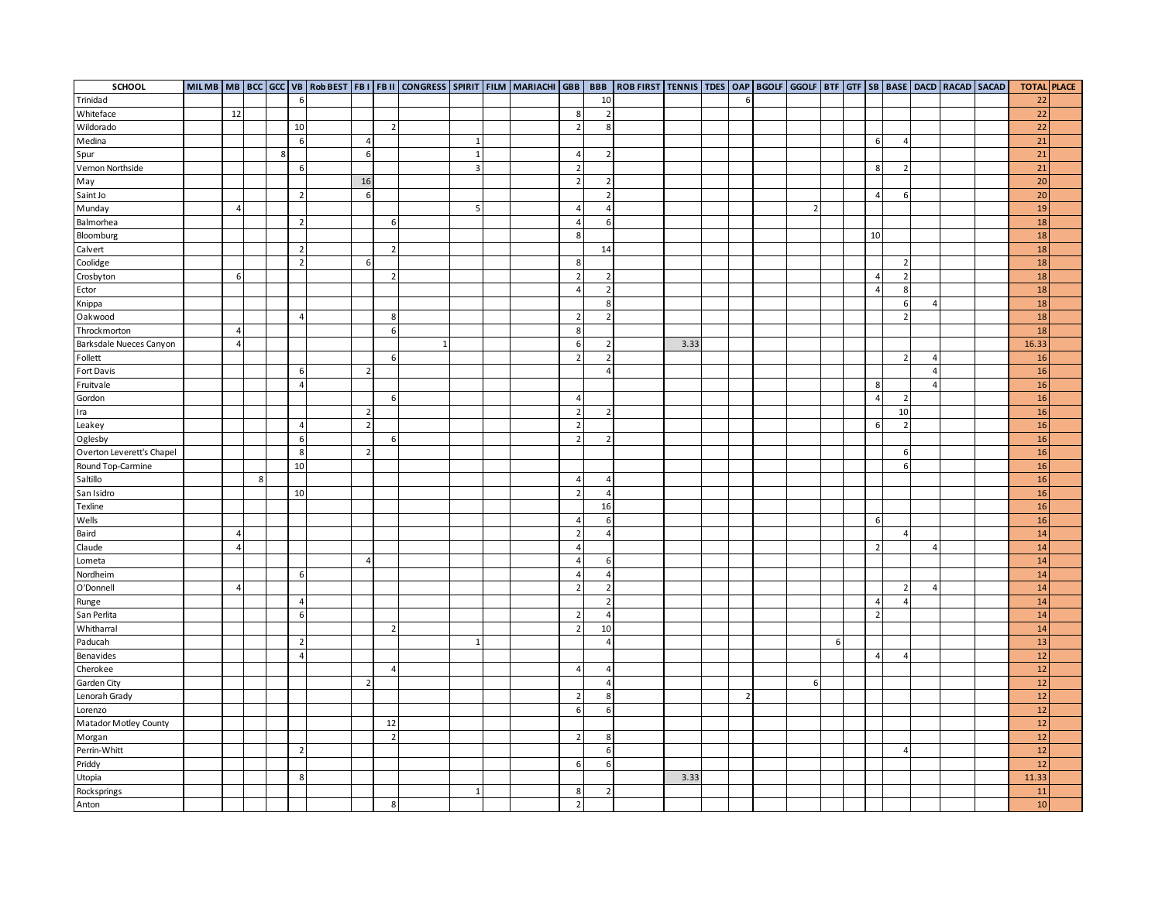| SCHOOL                    |                |   |   |                |                          |                          |              |                |  |                          |                | MILMB   MB   BCC   GCC   VB   R0b BEST   FB II   CONGRESS   SPIRIT   FILM   MARIACHI   GBB   BBB   ROB FIRST   TENNIS   TDES   OAP   BGOLF   GGOLF   GTF   GTF   SB   BASE   DACD   RACAD   SACAD |      |                |                |   |                |                |                         |  | <b>TOTAL PLACE</b> |  |
|---------------------------|----------------|---|---|----------------|--------------------------|--------------------------|--------------|----------------|--|--------------------------|----------------|---------------------------------------------------------------------------------------------------------------------------------------------------------------------------------------------------|------|----------------|----------------|---|----------------|----------------|-------------------------|--|--------------------|--|
| Trinidad                  |                |   |   | 6              |                          |                          |              |                |  |                          | 10             |                                                                                                                                                                                                   |      | 6              |                |   |                |                |                         |  | 22                 |  |
| Whiteface                 | 12             |   |   |                |                          |                          |              |                |  | 8                        | $\overline{2}$ |                                                                                                                                                                                                   |      |                |                |   |                |                |                         |  | 22                 |  |
| Wildorado                 |                |   |   | 10             |                          | $\overline{2}$           |              |                |  | $\overline{2}$           | 8              |                                                                                                                                                                                                   |      |                |                |   |                |                |                         |  | 22                 |  |
| Medina                    |                |   |   | 6              | $\overline{4}$           |                          |              |                |  |                          |                |                                                                                                                                                                                                   |      |                |                |   | 6              | 4              |                         |  | 21                 |  |
| Spur                      |                |   | 8 |                | 6                        |                          |              | $\overline{1}$ |  | $\overline{4}$           | $\overline{2}$ |                                                                                                                                                                                                   |      |                |                |   |                |                |                         |  | 21                 |  |
| Vernon Northside          |                |   |   | 6              |                          |                          |              | $\overline{3}$ |  | $\overline{2}$           |                |                                                                                                                                                                                                   |      |                |                |   | 8              | $\overline{2}$ |                         |  | 21                 |  |
| May                       |                |   |   |                | 16                       |                          |              |                |  | $\overline{2}$           | $\overline{2}$ |                                                                                                                                                                                                   |      |                |                |   |                |                |                         |  | 20                 |  |
| Saint Jo                  |                |   |   | $\overline{2}$ | 6                        |                          |              |                |  |                          | $\overline{2}$ |                                                                                                                                                                                                   |      |                |                |   | $\overline{a}$ | 6              |                         |  | 20                 |  |
| Munday                    | $\overline{4}$ |   |   |                |                          |                          |              | 5              |  | $\overline{4}$           | $\overline{4}$ |                                                                                                                                                                                                   |      |                | 2 <sup>1</sup> |   |                |                |                         |  | 19                 |  |
| Balmorhea                 |                |   |   | $\overline{2}$ |                          | 6                        |              |                |  | $\overline{4}$           | 6              |                                                                                                                                                                                                   |      |                |                |   |                |                |                         |  | 18                 |  |
| Bloomburg                 |                |   |   |                |                          |                          |              |                |  | 8                        |                |                                                                                                                                                                                                   |      |                |                |   | 10             |                |                         |  | 18                 |  |
| Calvert                   |                |   |   | $\overline{2}$ |                          | $\overline{2}$           |              |                |  |                          | 14             |                                                                                                                                                                                                   |      |                |                |   |                |                |                         |  | 18                 |  |
| Coolidge                  |                |   |   | $\overline{2}$ | 6                        |                          |              |                |  | 8                        |                |                                                                                                                                                                                                   |      |                |                |   |                | $\overline{2}$ |                         |  | 18                 |  |
| Crosbyton                 | 6              |   |   |                |                          | $\overline{\phantom{a}}$ |              |                |  | $\overline{2}$           | $\overline{2}$ |                                                                                                                                                                                                   |      |                |                |   | $\overline{a}$ | $\overline{2}$ |                         |  | 18                 |  |
| Ector                     |                |   |   |                |                          |                          |              |                |  | $\overline{4}$           | $\overline{2}$ |                                                                                                                                                                                                   |      |                |                |   | $\overline{A}$ | 8              |                         |  | 18                 |  |
| Knippa                    |                |   |   |                |                          |                          |              |                |  |                          | 8              |                                                                                                                                                                                                   |      |                |                |   |                | 6              | $\sqrt{2}$              |  | 18                 |  |
| Oakwood                   |                |   |   | $\overline{4}$ |                          | 8                        |              |                |  | $\overline{2}$           | $\overline{2}$ |                                                                                                                                                                                                   |      |                |                |   |                | $\overline{2}$ |                         |  | 18                 |  |
| Throckmorton              | $\overline{4}$ |   |   |                |                          | 6                        |              |                |  | 8                        |                |                                                                                                                                                                                                   |      |                |                |   |                |                |                         |  | 18                 |  |
| Barksdale Nueces Canyon   | $\overline{4}$ |   |   |                |                          |                          | $\mathbf{1}$ |                |  | 6                        | $\overline{2}$ |                                                                                                                                                                                                   | 3.33 |                |                |   |                |                |                         |  | 16.33              |  |
| Follett                   |                |   |   |                |                          | 6                        |              |                |  |                          | $\overline{2}$ |                                                                                                                                                                                                   |      |                |                |   |                | $\overline{2}$ | $\overline{\mathbf{r}}$ |  | 16                 |  |
| Fort Davis                |                |   |   | 6              | $\overline{z}$           |                          |              |                |  |                          | $\overline{a}$ |                                                                                                                                                                                                   |      |                |                |   |                |                | $\sqrt{2}$              |  | 16                 |  |
| Fruitvale                 |                |   |   | $\overline{4}$ |                          |                          |              |                |  |                          |                |                                                                                                                                                                                                   |      |                |                |   | 8              |                | $\overline{4}$          |  | 16                 |  |
| Gordon                    |                |   |   |                |                          | 6                        |              |                |  | $\overline{a}$           |                |                                                                                                                                                                                                   |      |                |                |   | 4              | $\overline{2}$ |                         |  | 16                 |  |
| Ira                       |                |   |   |                | $\overline{\phantom{a}}$ |                          |              |                |  | $\overline{2}$           | $\overline{2}$ |                                                                                                                                                                                                   |      |                |                |   |                | 10             |                         |  | 16                 |  |
| Leakey                    |                |   |   | $\overline{4}$ | $\overline{2}$           |                          |              |                |  |                          |                |                                                                                                                                                                                                   |      |                |                |   | 6              | $\overline{2}$ |                         |  | 16                 |  |
| Oglesby                   |                |   |   | 6              |                          | 6                        |              |                |  | $\overline{2}$           | $\overline{2}$ |                                                                                                                                                                                                   |      |                |                |   |                |                |                         |  | 16                 |  |
| Overton Leverett's Chapel |                |   |   | 8              | $\mathcal{I}$            |                          |              |                |  |                          |                |                                                                                                                                                                                                   |      |                |                |   |                | 6              |                         |  | 16                 |  |
| Round Top-Carmine         |                |   |   | $10\,$         |                          |                          |              |                |  |                          |                |                                                                                                                                                                                                   |      |                |                |   |                | 6              |                         |  | 16                 |  |
| Saltillo                  |                | 8 |   |                |                          |                          |              |                |  | $\overline{4}$           | $\overline{4}$ |                                                                                                                                                                                                   |      |                |                |   |                |                |                         |  | 16                 |  |
| San Isidro                |                |   |   | 10             |                          |                          |              |                |  | $\overline{2}$           | $\overline{4}$ |                                                                                                                                                                                                   |      |                |                |   |                |                |                         |  | 16                 |  |
| Texline                   |                |   |   |                |                          |                          |              |                |  |                          | 16             |                                                                                                                                                                                                   |      |                |                |   |                |                |                         |  | 16                 |  |
| Wells                     |                |   |   |                |                          |                          |              |                |  | $\overline{4}$           | 6              |                                                                                                                                                                                                   |      |                |                |   | 6              |                |                         |  | 16                 |  |
| Baird                     | $\overline{a}$ |   |   |                |                          |                          |              |                |  | $\overline{\phantom{a}}$ | $\overline{4}$ |                                                                                                                                                                                                   |      |                |                |   |                | $\overline{4}$ |                         |  | 14                 |  |
| Claude                    | $\overline{4}$ |   |   |                |                          |                          |              |                |  | $\Delta$                 |                |                                                                                                                                                                                                   |      |                |                |   | $\overline{2}$ |                | $\sqrt{2}$              |  | 14                 |  |
| Lometa                    |                |   |   |                | $\overline{a}$           |                          |              |                |  | $\overline{4}$           | 6              |                                                                                                                                                                                                   |      |                |                |   |                |                |                         |  | 14                 |  |
| Nordheim                  |                |   |   | 6              |                          |                          |              |                |  | 4                        | 4              |                                                                                                                                                                                                   |      |                |                |   |                |                |                         |  | 14                 |  |
| O'Donnell                 | $\overline{4}$ |   |   |                |                          |                          |              |                |  | $\overline{2}$           | $\overline{2}$ |                                                                                                                                                                                                   |      |                |                |   |                | $\overline{2}$ | $\Delta$                |  | 14                 |  |
| Runge                     |                |   |   | $\overline{4}$ |                          |                          |              |                |  |                          | $\overline{2}$ |                                                                                                                                                                                                   |      |                |                |   | $\overline{4}$ | $\overline{4}$ |                         |  | 14                 |  |
| San Perlita               |                |   |   | 6              |                          |                          |              |                |  | $\overline{2}$           | $\overline{4}$ |                                                                                                                                                                                                   |      |                |                |   | $\overline{2}$ |                |                         |  | 14                 |  |
| Whitharral                |                |   |   |                |                          | $\overline{2}$           |              |                |  | $\overline{2}$           | 10             |                                                                                                                                                                                                   |      |                |                |   |                |                |                         |  | 14                 |  |
| Paducah                   |                |   |   | $\overline{2}$ |                          |                          |              |                |  |                          | $\overline{4}$ |                                                                                                                                                                                                   |      |                |                | 6 |                |                |                         |  | 13                 |  |
| Benavides                 |                |   |   | $\overline{4}$ |                          |                          |              |                |  |                          |                |                                                                                                                                                                                                   |      |                |                |   | $\Delta$       | Δ              |                         |  | 12                 |  |
| Cherokee                  |                |   |   |                |                          | $\overline{4}$           |              |                |  | $\overline{4}$           | $\overline{4}$ |                                                                                                                                                                                                   |      |                |                |   |                |                |                         |  | 12                 |  |
| Garden City               |                |   |   |                | $\overline{2}$           |                          |              |                |  |                          | $\overline{4}$ |                                                                                                                                                                                                   |      |                | $6 \mid$       |   |                |                |                         |  | 12                 |  |
|                           |                |   |   |                |                          |                          |              |                |  |                          | 8              |                                                                                                                                                                                                   |      | $\overline{2}$ |                |   |                |                |                         |  | 12                 |  |
| Lenorah Grady<br>Lorenzo  |                |   |   |                |                          |                          |              |                |  | $\overline{2}$<br>6      | 6              |                                                                                                                                                                                                   |      |                |                |   |                |                |                         |  | 12                 |  |
|                           |                |   |   |                |                          | 12                       |              |                |  |                          |                |                                                                                                                                                                                                   |      |                |                |   |                |                |                         |  | 12                 |  |
| Matador Motley County     |                |   |   |                |                          | $\overline{2}$           |              |                |  | $\overline{2}$           |                |                                                                                                                                                                                                   |      |                |                |   |                |                |                         |  | 12                 |  |
| Morgan                    |                |   |   |                |                          |                          |              |                |  |                          | 8              |                                                                                                                                                                                                   |      |                |                |   |                |                |                         |  | 12                 |  |
| Perrin-Whitt              |                |   |   | $\overline{2}$ |                          |                          |              |                |  |                          | 6              |                                                                                                                                                                                                   |      |                |                |   |                | $\overline{4}$ |                         |  | 12                 |  |
| Priddy                    |                |   |   | 8              |                          |                          |              |                |  | 6                        | 6              |                                                                                                                                                                                                   | 3.33 |                |                |   |                |                |                         |  | 11.33              |  |
| Utopia                    |                |   |   |                |                          |                          |              |                |  |                          |                |                                                                                                                                                                                                   |      |                |                |   |                |                |                         |  |                    |  |
| Rocksprings               |                |   |   |                |                          |                          |              |                |  | 8                        | $\overline{2}$ |                                                                                                                                                                                                   |      |                |                |   |                |                |                         |  | 11                 |  |
| Anton                     |                |   |   |                |                          | 8                        |              |                |  | $\overline{2}$           |                |                                                                                                                                                                                                   |      |                |                |   |                |                |                         |  | 10                 |  |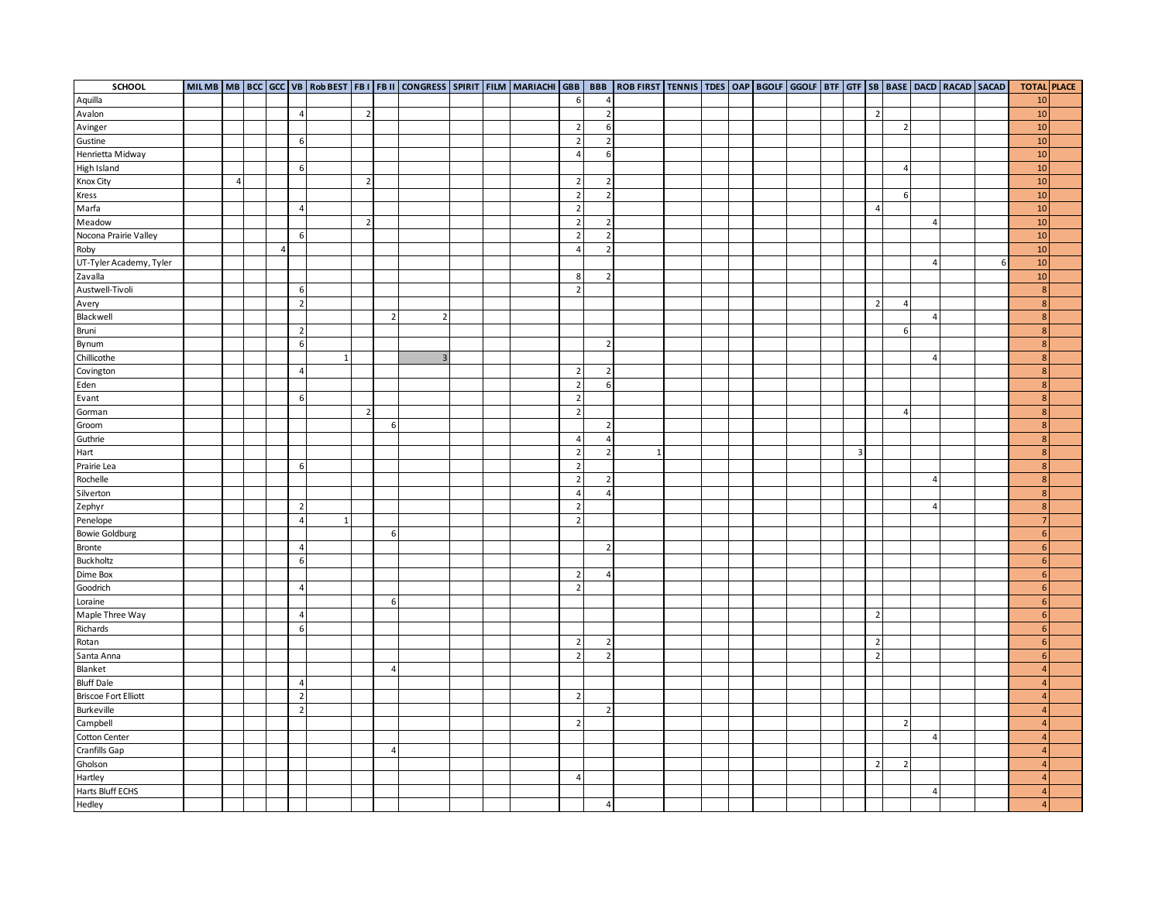| SCHOOL                      |                |   |                |              |                |                | MILMB MB BCC GCC VB ROBBEST FBI   FBII CONGRESS SPIRIT FILM MARIACHI GBB   BBB   ROB FIRST TENNIS   TDES OAP   BGOLF   GGOLF   BTF   GTF   SB   BASE   DACD   RACAD   SACAD |  |                |                          |  |  |  |                         |                |                |                |   | <b>TOTAL PLACE</b> |  |
|-----------------------------|----------------|---|----------------|--------------|----------------|----------------|-----------------------------------------------------------------------------------------------------------------------------------------------------------------------------|--|----------------|--------------------------|--|--|--|-------------------------|----------------|----------------|----------------|---|--------------------|--|
| Aquilla                     |                |   |                |              |                |                |                                                                                                                                                                             |  | $6 \mid$       | $\overline{4}$           |  |  |  |                         |                |                |                |   | 10                 |  |
| Avalon                      |                |   | $\overline{4}$ |              | $\overline{z}$ |                |                                                                                                                                                                             |  |                | $\overline{2}$           |  |  |  |                         | $\overline{2}$ |                |                |   | 10                 |  |
| Avinger                     |                |   |                |              |                |                |                                                                                                                                                                             |  | $\overline{2}$ | 6                        |  |  |  |                         |                | $\overline{2}$ |                |   | $10\,$             |  |
| Gustine                     |                |   | 6              |              |                |                |                                                                                                                                                                             |  | $\overline{2}$ | $\overline{2}$           |  |  |  |                         |                |                |                |   | 10                 |  |
| Henrietta Midway            |                |   |                |              |                |                |                                                                                                                                                                             |  | $\overline{4}$ | 6                        |  |  |  |                         |                |                |                |   | 10                 |  |
| High Island                 |                |   | 6              |              |                |                |                                                                                                                                                                             |  |                |                          |  |  |  |                         |                | $\overline{4}$ |                |   | 10                 |  |
| Knox City                   | $\overline{4}$ |   |                |              | $\overline{2}$ |                |                                                                                                                                                                             |  | $\overline{2}$ | $\overline{2}$           |  |  |  |                         |                |                |                |   | 10                 |  |
| Kress                       |                |   |                |              |                |                |                                                                                                                                                                             |  | $\overline{2}$ | $\sqrt{2}$               |  |  |  |                         |                | 6              |                |   | 10                 |  |
| Marfa                       |                |   | $\overline{4}$ |              |                |                |                                                                                                                                                                             |  | $\overline{2}$ |                          |  |  |  |                         | $\overline{4}$ |                |                |   | 10                 |  |
| Meadow                      |                |   |                |              | $\overline{2}$ |                |                                                                                                                                                                             |  | $\overline{2}$ | $\overline{2}$           |  |  |  |                         |                |                | $\overline{4}$ |   | 10                 |  |
| Nocona Prairie Valley       |                |   | 6              |              |                |                |                                                                                                                                                                             |  | $\overline{2}$ | $\overline{2}$           |  |  |  |                         |                |                |                |   | 10                 |  |
| Roby                        |                | 4 |                |              |                |                |                                                                                                                                                                             |  | $\overline{4}$ | $\overline{2}$           |  |  |  |                         |                |                |                |   | 10                 |  |
| UT-Tyler Academy, Tyler     |                |   |                |              |                |                |                                                                                                                                                                             |  |                |                          |  |  |  |                         |                |                | $\overline{4}$ | 6 | $10$               |  |
| Zavalla                     |                |   |                |              |                |                |                                                                                                                                                                             |  | 8              | $\overline{2}$           |  |  |  |                         |                |                |                |   | 10                 |  |
| Austwell-Tivoli             |                |   | 6              |              |                |                |                                                                                                                                                                             |  | $\overline{2}$ |                          |  |  |  |                         |                |                |                |   | 8                  |  |
| Avery                       |                |   | $\overline{2}$ |              |                |                |                                                                                                                                                                             |  |                |                          |  |  |  |                         | $\overline{2}$ | $\overline{4}$ |                |   | $\mathbf{R}$       |  |
| Blackwell                   |                |   |                |              |                | $\overline{2}$ | $\overline{2}$                                                                                                                                                              |  |                |                          |  |  |  |                         |                |                | $\overline{4}$ |   | $\mathbf{8}$       |  |
| Bruni                       |                |   | $\overline{2}$ |              |                |                |                                                                                                                                                                             |  |                |                          |  |  |  |                         |                | 6              |                |   | 8 <sup>1</sup>     |  |
| Bynum                       |                |   | $\,$ 6         |              |                |                |                                                                                                                                                                             |  |                | $\overline{2}$           |  |  |  |                         |                |                |                |   | 8 <sup>1</sup>     |  |
| Chillicothe                 |                |   |                | $\mathbf{1}$ |                |                | $\overline{3}$                                                                                                                                                              |  |                |                          |  |  |  |                         |                |                | 4              |   | 8                  |  |
| Covington                   |                |   | $\overline{4}$ |              |                |                |                                                                                                                                                                             |  | $\overline{2}$ | $\overline{2}$           |  |  |  |                         |                |                |                |   | $\mathbf{R}$       |  |
| Eden                        |                |   |                |              |                |                |                                                                                                                                                                             |  | $\overline{2}$ | 6                        |  |  |  |                         |                |                |                |   | $\mathbf{8}$       |  |
| Evant                       |                |   | 6              |              |                |                |                                                                                                                                                                             |  | $\overline{2}$ |                          |  |  |  |                         |                |                |                |   | 8 <sup>°</sup>     |  |
| Gorman                      |                |   |                |              | $\overline{2}$ |                |                                                                                                                                                                             |  | $\overline{2}$ |                          |  |  |  |                         |                | $\overline{4}$ |                |   | $\mathbf{R}$       |  |
| Groom                       |                |   |                |              |                | 6              |                                                                                                                                                                             |  |                | $\overline{2}$           |  |  |  |                         |                |                |                |   | $\mathbf{R}$       |  |
| Guthrie                     |                |   |                |              |                |                |                                                                                                                                                                             |  | $\overline{4}$ | $\overline{4}$           |  |  |  |                         |                |                |                |   | $\mathbf{8}$       |  |
| Hart                        |                |   |                |              |                |                |                                                                                                                                                                             |  | $\overline{2}$ | $\overline{2}$           |  |  |  | $\overline{\mathbf{3}}$ |                |                |                |   | 8                  |  |
| Prairie Lea                 |                |   | 6              |              |                |                |                                                                                                                                                                             |  | $\overline{2}$ |                          |  |  |  |                         |                |                |                |   | 8 <sup>1</sup>     |  |
| Rochelle                    |                |   |                |              |                |                |                                                                                                                                                                             |  | $\overline{2}$ | $\overline{2}$           |  |  |  |                         |                |                | $\overline{a}$ |   | $\overline{8}$     |  |
| Silverton                   |                |   |                |              |                |                |                                                                                                                                                                             |  | $\overline{4}$ | $\overline{4}$           |  |  |  |                         |                |                |                |   | $\mathbf{8}$       |  |
| Zephyr                      |                |   | $\overline{2}$ |              |                |                |                                                                                                                                                                             |  | $\overline{2}$ |                          |  |  |  |                         |                |                | $\overline{4}$ |   | $\mathbf{8}$       |  |
| Penelope                    |                |   | $\overline{4}$ | 1            |                |                |                                                                                                                                                                             |  | $\overline{2}$ |                          |  |  |  |                         |                |                |                |   |                    |  |
| <b>Bowie Goldburg</b>       |                |   |                |              |                | 6              |                                                                                                                                                                             |  |                |                          |  |  |  |                         |                |                |                |   | $6 \overline{6}$   |  |
| <b>Bronte</b>               |                |   | $\overline{4}$ |              |                |                |                                                                                                                                                                             |  |                | $\overline{2}$           |  |  |  |                         |                |                |                |   | $6 \overline{6}$   |  |
| Buckholtz                   |                |   | 6              |              |                |                |                                                                                                                                                                             |  |                |                          |  |  |  |                         |                |                |                |   | $6 \overline{6}$   |  |
| Dime Box                    |                |   |                |              |                |                |                                                                                                                                                                             |  | $\overline{2}$ | 4                        |  |  |  |                         |                |                |                |   | $6 \overline{6}$   |  |
| Goodrich                    |                |   | $\overline{4}$ |              |                |                |                                                                                                                                                                             |  | $\overline{2}$ |                          |  |  |  |                         |                |                |                |   | 6                  |  |
| Loraine                     |                |   |                |              |                | 6              |                                                                                                                                                                             |  |                |                          |  |  |  |                         |                |                |                |   | $6 \overline{6}$   |  |
| Maple Three Way             |                |   | $\overline{4}$ |              |                |                |                                                                                                                                                                             |  |                |                          |  |  |  |                         | $\overline{2}$ |                |                |   | $6 \overline{6}$   |  |
| Richards                    |                |   | 6              |              |                |                |                                                                                                                                                                             |  |                |                          |  |  |  |                         |                |                |                |   | $6 \overline{6}$   |  |
| Rotan                       |                |   |                |              |                |                |                                                                                                                                                                             |  | $\overline{2}$ | $\overline{2}$           |  |  |  |                         | $\overline{2}$ |                |                |   | $6 \overline{6}$   |  |
| Santa Anna                  |                |   |                |              |                |                |                                                                                                                                                                             |  |                | $\overline{\phantom{a}}$ |  |  |  |                         | $\overline{2}$ |                |                |   | 6                  |  |
| Blanket                     |                |   |                |              |                | $\overline{4}$ |                                                                                                                                                                             |  |                |                          |  |  |  |                         |                |                |                |   | $\overline{a}$     |  |
| <b>Bluff Dale</b>           |                |   | $\overline{4}$ |              |                |                |                                                                                                                                                                             |  |                |                          |  |  |  |                         |                |                |                |   | $\overline{4}$     |  |
| <b>Briscoe Fort Elliott</b> |                |   | $\overline{2}$ |              |                |                |                                                                                                                                                                             |  | $\overline{2}$ |                          |  |  |  |                         |                |                |                |   | $\overline{4}$     |  |
| Burkeville                  |                |   | $\overline{2}$ |              |                |                |                                                                                                                                                                             |  |                | $\mathcal{P}$            |  |  |  |                         |                |                |                |   | $\overline{4}$     |  |
| Campbell                    |                |   |                |              |                |                |                                                                                                                                                                             |  | $\overline{2}$ |                          |  |  |  |                         |                | $\overline{2}$ |                |   | $\overline{a}$     |  |
| Cotton Center               |                |   |                |              |                |                |                                                                                                                                                                             |  |                |                          |  |  |  |                         |                |                | $\overline{a}$ |   | $\overline{4}$     |  |
| Cranfills Gap               |                |   |                |              |                | $\overline{4}$ |                                                                                                                                                                             |  |                |                          |  |  |  |                         |                |                |                |   | $\overline{4}$     |  |
| Gholson                     |                |   |                |              |                |                |                                                                                                                                                                             |  |                |                          |  |  |  |                         | $\overline{2}$ | $\mathcal{P}$  |                |   | $\Delta$           |  |
| Hartley                     |                |   |                |              |                |                |                                                                                                                                                                             |  | 4              |                          |  |  |  |                         |                |                |                |   | $\overline{a}$     |  |
| Harts Bluff ECHS            |                |   |                |              |                |                |                                                                                                                                                                             |  |                |                          |  |  |  |                         |                |                | $\overline{4}$ |   | $\overline{4}$     |  |
| Hedley                      |                |   |                |              |                |                |                                                                                                                                                                             |  |                | $\overline{4}$           |  |  |  |                         |                |                |                |   | 4 <sup>1</sup>     |  |